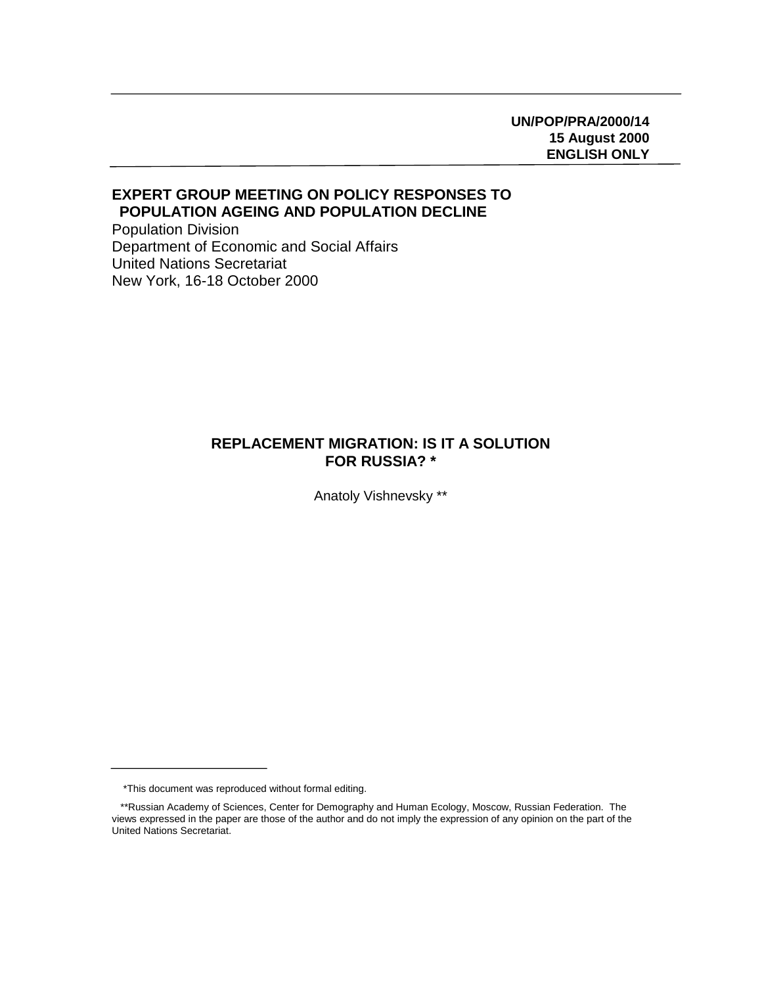# **UN/POP/PRA/2000/14 15 August 2000 ENGLISH ONLY**

# **EXPERT GROUP MEETING ON POLICY RESPONSES TO POPULATION AGEING AND POPULATION DECLINE**

Population Division Department of Economic and Social Affairs United Nations Secretariat New York, 16-18 October 2000

# **REPLACEMENT MIGRATION: IS IT A SOLUTION FOR RUSSIA? \***

Anatoly Vishnevsky \*\*

 <sup>\*</sup>This document was reproduced without formal editing.

 <sup>\*\*</sup>Russian Academy of Sciences, Center for Demography and Human Ecology, Moscow, Russian Federation. The views expressed in the paper are those of the author and do not imply the expression of any opinion on the part of the United Nations Secretariat.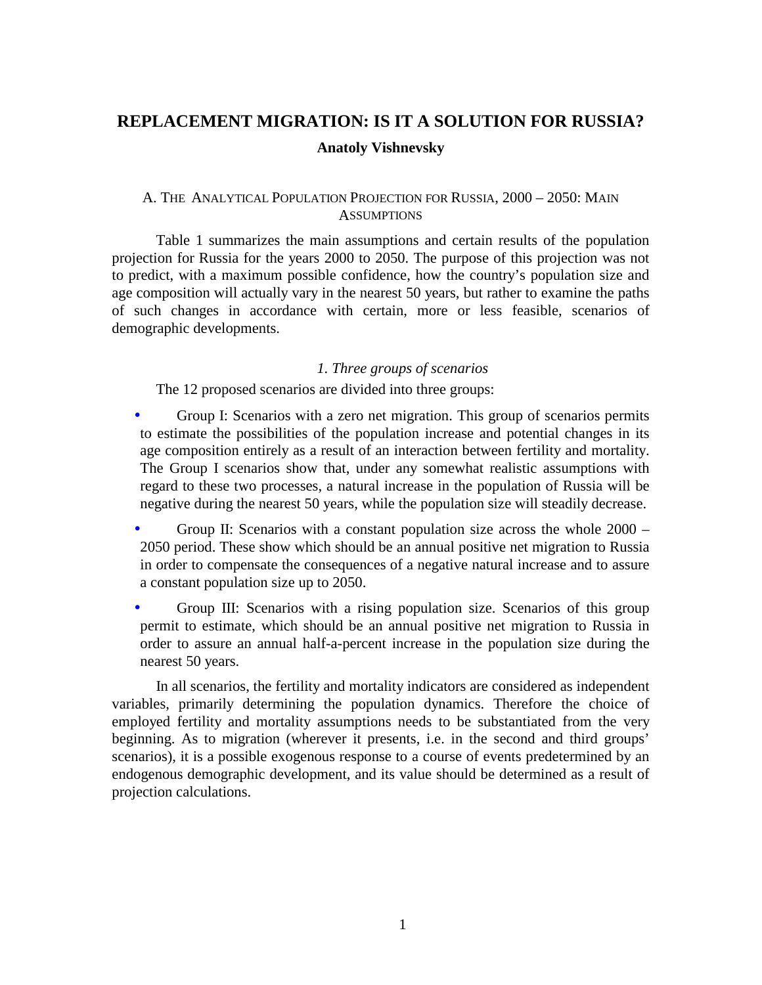# **REPLACEMENT MIGRATION: IS IT A SOLUTION FOR RUSSIA? Anatoly Vishnevsky**

# A. THE ANALYTICAL POPULATION PROJECTION FOR RUSSIA, 2000 – 2050: MAIN **ASSUMPTIONS**

Table 1 summarizes the main assumptions and certain results of the population projection for Russia for the years 2000 to 2050. The purpose of this projection was not to predict, with a maximum possible confidence, how the country's population size and age composition will actually vary in the nearest 50 years, but rather to examine the paths of such changes in accordance with certain, more or less feasible, scenarios of demographic developments.

## *1. Three groups of scenarios*

The 12 proposed scenarios are divided into three groups:

- Group I: Scenarios with a zero net migration. This group of scenarios permits to estimate the possibilities of the population increase and potential changes in its age composition entirely as a result of an interaction between fertility and mortality. The Group I scenarios show that, under any somewhat realistic assumptions with regard to these two processes, a natural increase in the population of Russia will be negative during the nearest 50 years, while the population size will steadily decrease.
- Group II: Scenarios with a constant population size across the whole 2000 2050 period. These show which should be an annual positive net migration to Russia in order to compensate the consequences of a negative natural increase and to assure a constant population size up to 2050.
- Group III: Scenarios with a rising population size. Scenarios of this group permit to estimate, which should be an annual positive net migration to Russia in order to assure an annual half-a-percent increase in the population size during the nearest 50 years.

In all scenarios, the fertility and mortality indicators are considered as independent variables, primarily determining the population dynamics. Therefore the choice of employed fertility and mortality assumptions needs to be substantiated from the very beginning. As to migration (wherever it presents, i.e. in the second and third groups' scenarios), it is a possible exogenous response to a course of events predetermined by an endogenous demographic development, and its value should be determined as a result of projection calculations.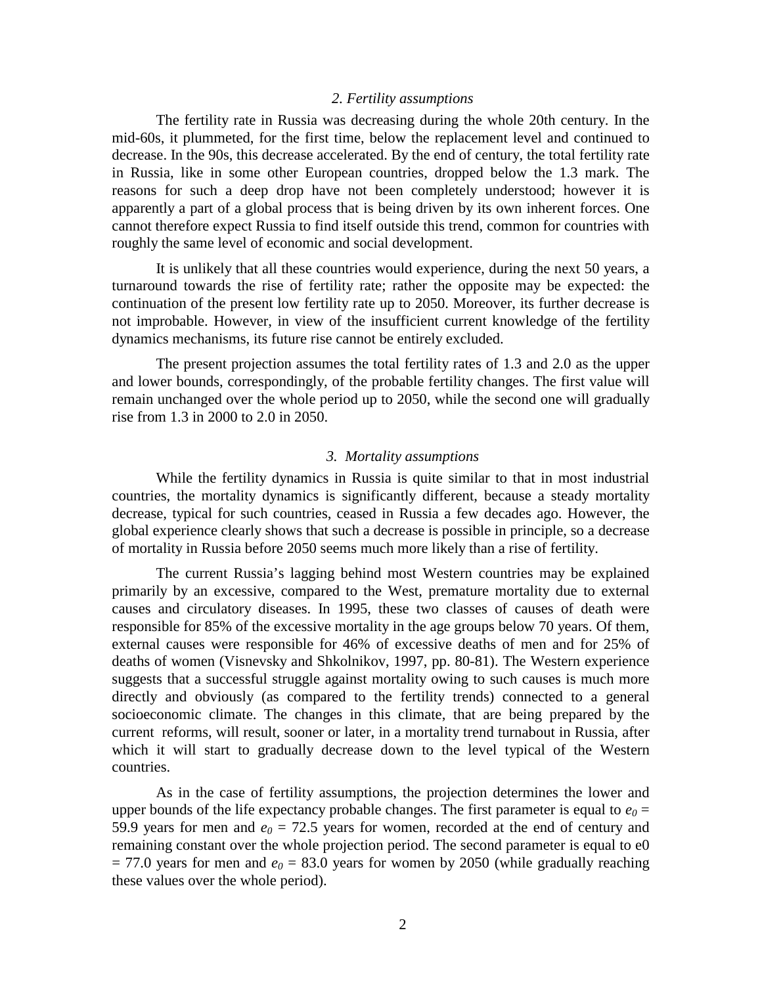## *2. Fertility assumptions*

The fertility rate in Russia was decreasing during the whole 20th century. In the mid-60s, it plummeted, for the first time, below the replacement level and continued to decrease. In the 90s, this decrease accelerated. By the end of century, the total fertility rate in Russia, like in some other European countries, dropped below the 1.3 mark. The reasons for such a deep drop have not been completely understood; however it is apparently a part of a global process that is being driven by its own inherent forces. One cannot therefore expect Russia to find itself outside this trend, common for countries with roughly the same level of economic and social development.

It is unlikely that all these countries would experience, during the next 50 years, a turnaround towards the rise of fertility rate; rather the opposite may be expected: the continuation of the present low fertility rate up to 2050. Moreover, its further decrease is not improbable. However, in view of the insufficient current knowledge of the fertility dynamics mechanisms, its future rise cannot be entirely excluded.

The present projection assumes the total fertility rates of 1.3 and 2.0 as the upper and lower bounds, correspondingly, of the probable fertility changes. The first value will remain unchanged over the whole period up to 2050, while the second one will gradually rise from 1.3 in 2000 to 2.0 in 2050.

#### *3. Mortality assumptions*

While the fertility dynamics in Russia is quite similar to that in most industrial countries, the mortality dynamics is significantly different, because a steady mortality decrease, typical for such countries, ceased in Russia a few decades ago. However, the global experience clearly shows that such a decrease is possible in principle, so a decrease of mortality in Russia before 2050 seems much more likely than a rise of fertility.

The current Russia's lagging behind most Western countries may be explained primarily by an excessive, compared to the West, premature mortality due to external causes and circulatory diseases. In 1995, these two classes of causes of death were responsible for 85% of the excessive mortality in the age groups below 70 years. Of them, external causes were responsible for 46% of excessive deaths of men and for 25% of deaths of women (Visnevsky and Shkolnikov, 1997, pp. 80-81). The Western experience suggests that a successful struggle against mortality owing to such causes is much more directly and obviously (as compared to the fertility trends) connected to a general socioeconomic climate. The changes in this climate, that are being prepared by the current reforms, will result, sooner or later, in a mortality trend turnabout in Russia, after which it will start to gradually decrease down to the level typical of the Western countries.

As in the case of fertility assumptions, the projection determines the lower and upper bounds of the life expectancy probable changes. The first parameter is equal to  $e_0 =$ 59.9 years for men and  $e_0 = 72.5$  years for women, recorded at the end of century and remaining constant over the whole projection period. The second parameter is equal to e0  $= 77.0$  years for men and  $e_0 = 83.0$  years for women by 2050 (while gradually reaching these values over the whole period).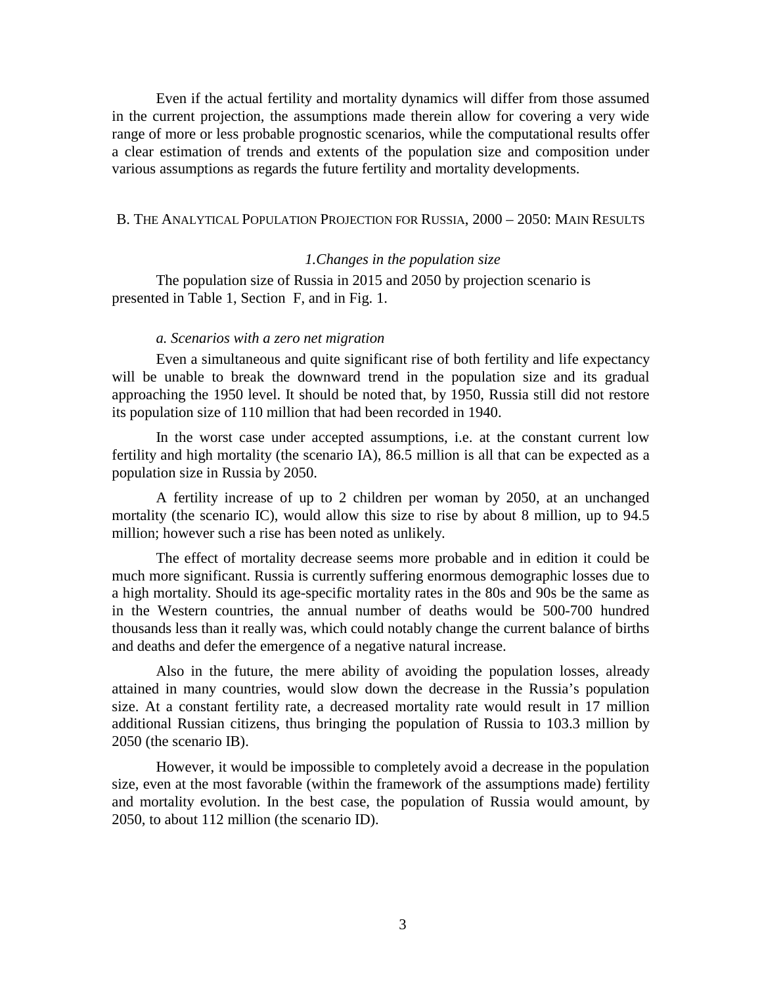Even if the actual fertility and mortality dynamics will differ from those assumed in the current projection, the assumptions made therein allow for covering a very wide range of more or less probable prognostic scenarios, while the computational results offer a clear estimation of trends and extents of the population size and composition under various assumptions as regards the future fertility and mortality developments.

## B. THE ANALYTICAL POPULATION PROJECTION FOR RUSSIA, 2000 – 2050: MAIN RESULTS

# *1.Changes in the population size*

The population size of Russia in 2015 and 2050 by projection scenario is presented in Table 1, Section F, and in Fig. 1.

#### *a. Scenarios with a zero net migration*

Even a simultaneous and quite significant rise of both fertility and life expectancy will be unable to break the downward trend in the population size and its gradual approaching the 1950 level. It should be noted that, by 1950, Russia still did not restore its population size of 110 million that had been recorded in 1940.

In the worst case under accepted assumptions, i.e. at the constant current low fertility and high mortality (the scenario IA), 86.5 million is all that can be expected as a population size in Russia by 2050.

A fertility increase of up to 2 children per woman by 2050, at an unchanged mortality (the scenario IC), would allow this size to rise by about 8 million, up to 94.5 million; however such a rise has been noted as unlikely.

The effect of mortality decrease seems more probable and in edition it could be much more significant. Russia is currently suffering enormous demographic losses due to a high mortality. Should its age-specific mortality rates in the 80s and 90s be the same as in the Western countries, the annual number of deaths would be 500-700 hundred thousands less than it really was, which could notably change the current balance of births and deaths and defer the emergence of a negative natural increase.

Also in the future, the mere ability of avoiding the population losses, already attained in many countries, would slow down the decrease in the Russia's population size. At a constant fertility rate, a decreased mortality rate would result in 17 million additional Russian citizens, thus bringing the population of Russia to 103.3 million by 2050 (the scenario IB).

However, it would be impossible to completely avoid a decrease in the population size, even at the most favorable (within the framework of the assumptions made) fertility and mortality evolution. In the best case, the population of Russia would amount, by 2050, to about 112 million (the scenario ID).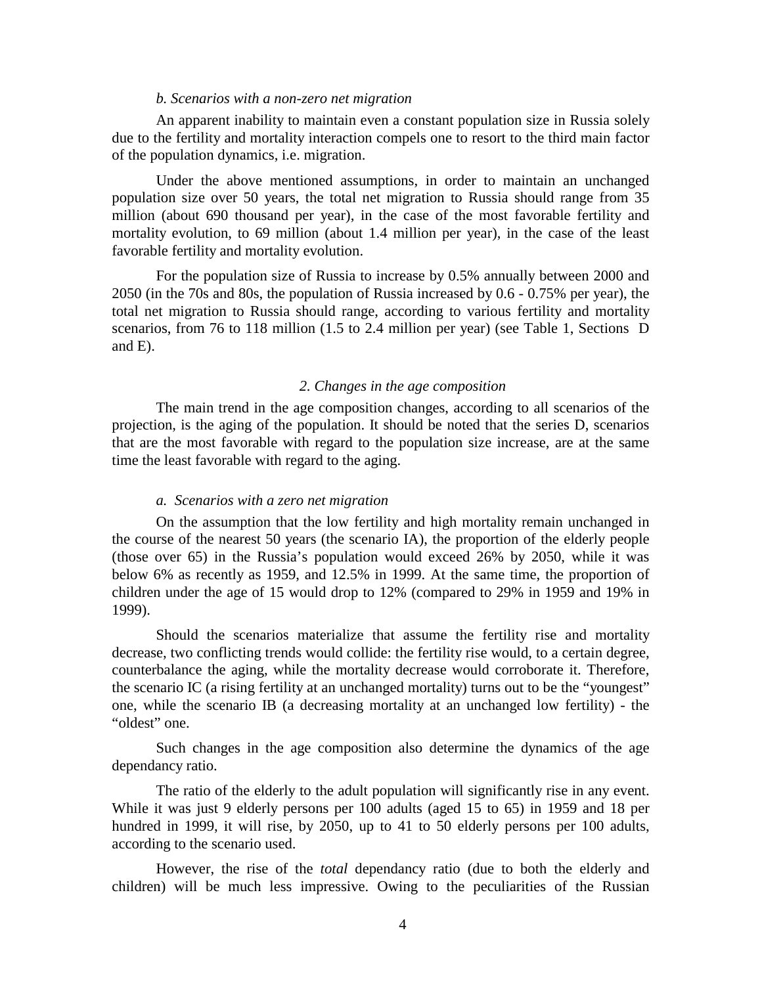#### *b. Scenarios with a non-zero net migration*

An apparent inability to maintain even a constant population size in Russia solely due to the fertility and mortality interaction compels one to resort to the third main factor of the population dynamics, i.e. migration.

Under the above mentioned assumptions, in order to maintain an unchanged population size over 50 years, the total net migration to Russia should range from 35 million (about 690 thousand per year), in the case of the most favorable fertility and mortality evolution, to 69 million (about 1.4 million per year), in the case of the least favorable fertility and mortality evolution.

For the population size of Russia to increase by 0.5% annually between 2000 and 2050 (in the 70s and 80s, the population of Russia increased by 0.6 - 0.75% per year), the total net migration to Russia should range, according to various fertility and mortality scenarios, from 76 to 118 million (1.5 to 2.4 million per year) (see Table 1, Sections D and E).

#### *2. Changes in the age composition*

The main trend in the age composition changes, according to all scenarios of the projection, is the aging of the population. It should be noted that the series D, scenarios that are the most favorable with regard to the population size increase, are at the same time the least favorable with regard to the aging.

### *a. Scenarios with a zero net migration*

On the assumption that the low fertility and high mortality remain unchanged in the course of the nearest 50 years (the scenario IA), the proportion of the elderly people (those over 65) in the Russia's population would exceed 26% by 2050, while it was below 6% as recently as 1959, and 12.5% in 1999. At the same time, the proportion of children under the age of 15 would drop to 12% (compared to 29% in 1959 and 19% in 1999).

Should the scenarios materialize that assume the fertility rise and mortality decrease, two conflicting trends would collide: the fertility rise would, to a certain degree, counterbalance the aging, while the mortality decrease would corroborate it. Therefore, the scenario IC (a rising fertility at an unchanged mortality) turns out to be the "youngest" one, while the scenario IB (a decreasing mortality at an unchanged low fertility) - the "oldest" one.

Such changes in the age composition also determine the dynamics of the age dependancy ratio.

The ratio of the elderly to the adult population will significantly rise in any event. While it was just 9 elderly persons per 100 adults (aged 15 to 65) in 1959 and 18 per hundred in 1999, it will rise, by 2050, up to 41 to 50 elderly persons per 100 adults, according to the scenario used.

However, the rise of the *total* dependancy ratio (due to both the elderly and children) will be much less impressive. Owing to the peculiarities of the Russian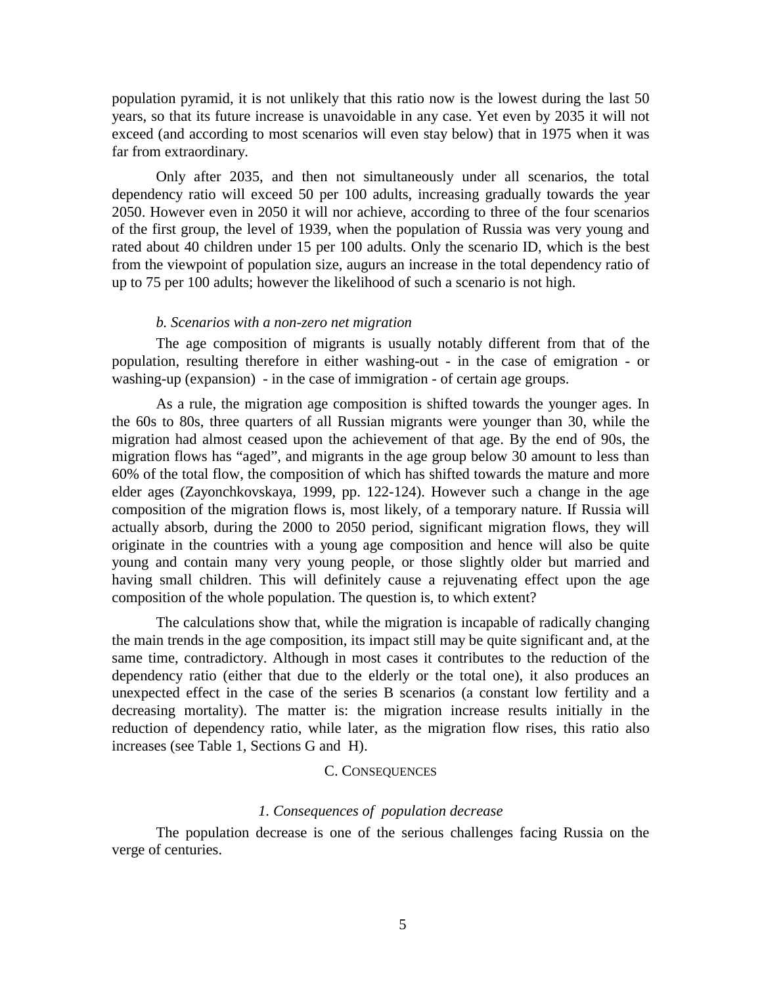population pyramid, it is not unlikely that this ratio now is the lowest during the last 50 years, so that its future increase is unavoidable in any case. Yet even by 2035 it will not exceed (and according to most scenarios will even stay below) that in 1975 when it was far from extraordinary.

Only after 2035, and then not simultaneously under all scenarios, the total dependency ratio will exceed 50 per 100 adults, increasing gradually towards the year 2050. However even in 2050 it will nor achieve, according to three of the four scenarios of the first group, the level of 1939, when the population of Russia was very young and rated about 40 children under 15 per 100 adults. Only the scenario ID, which is the best from the viewpoint of population size, augurs an increase in the total dependency ratio of up to 75 per 100 adults; however the likelihood of such a scenario is not high.

#### *b. Scenarios with a non-zero net migration*

The age composition of migrants is usually notably different from that of the population, resulting therefore in either washing-out - in the case of emigration - or washing-up (expansion) - in the case of immigration - of certain age groups.

As a rule, the migration age composition is shifted towards the younger ages. In the 60s to 80s, three quarters of all Russian migrants were younger than 30, while the migration had almost ceased upon the achievement of that age. By the end of 90s, the migration flows has "aged", and migrants in the age group below 30 amount to less than 60% of the total flow, the composition of which has shifted towards the mature and more elder ages (Zayonchkovskaya, 1999, pp. 122-124). However such a change in the age composition of the migration flows is, most likely, of a temporary nature. If Russia will actually absorb, during the 2000 to 2050 period, significant migration flows, they will originate in the countries with a young age composition and hence will also be quite young and contain many very young people, or those slightly older but married and having small children. This will definitely cause a rejuvenating effect upon the age composition of the whole population. The question is, to which extent?

The calculations show that, while the migration is incapable of radically changing the main trends in the age composition, its impact still may be quite significant and, at the same time, contradictory. Although in most cases it contributes to the reduction of the dependency ratio (either that due to the elderly or the total one), it also produces an unexpected effect in the case of the series B scenarios (a constant low fertility and a decreasing mortality). The matter is: the migration increase results initially in the reduction of dependency ratio, while later, as the migration flow rises, this ratio also increases (see Table 1, Sections G and H).

#### C. CONSEQUENCES

#### *1. Consequences of population decrease*

The population decrease is one of the serious challenges facing Russia on the verge of centuries.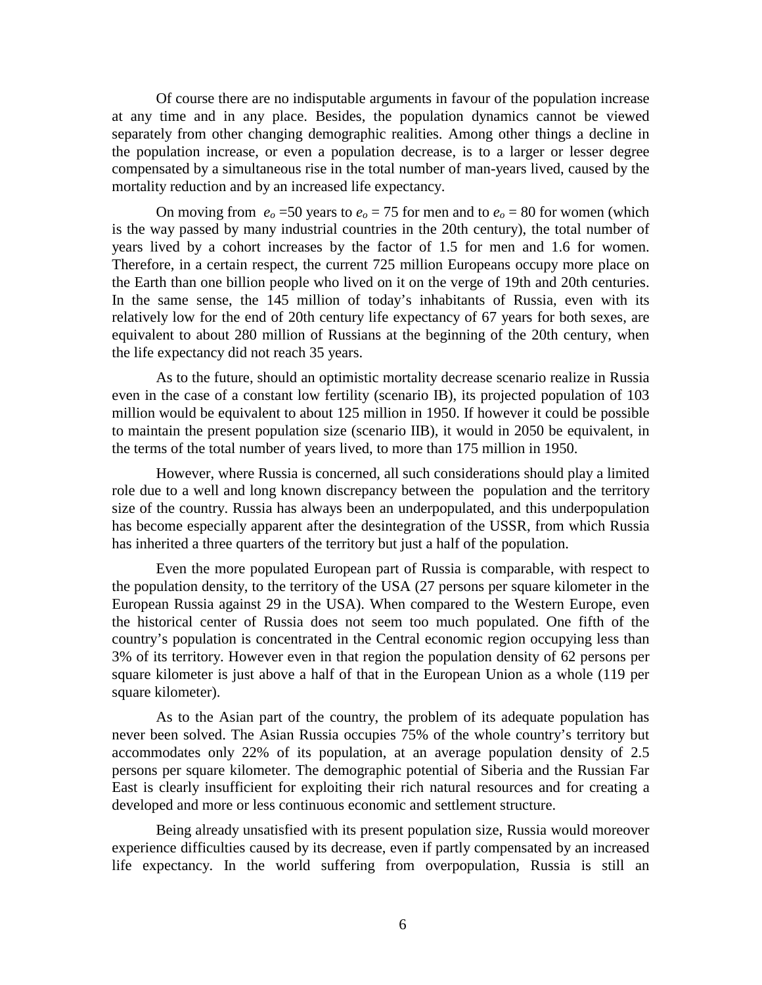Of course there are no indisputable arguments in favour of the population increase at any time and in any place. Besides, the population dynamics cannot be viewed separately from other changing demographic realities. Among other things a decline in the population increase, or even a population decrease, is to a larger or lesser degree compensated by a simultaneous rise in the total number of man-years lived, caused by the mortality reduction and by an increased life expectancy.

On moving from  $e_0 = 50$  years to  $e_0 = 75$  for men and to  $e_0 = 80$  for women (which is the way passed by many industrial countries in the 20th century), the total number of years lived by a cohort increases by the factor of 1.5 for men and 1.6 for women. Therefore, in a certain respect, the current 725 million Europeans occupy more place on the Earth than one billion people who lived on it on the verge of 19th and 20th centuries. In the same sense, the 145 million of today's inhabitants of Russia, even with its relatively low for the end of 20th century life expectancy of 67 years for both sexes, are equivalent to about 280 million of Russians at the beginning of the 20th century, when the life expectancy did not reach 35 years.

As to the future, should an optimistic mortality decrease scenario realize in Russia even in the case of a constant low fertility (scenario IB), its projected population of 103 million would be equivalent to about 125 million in 1950. If however it could be possible to maintain the present population size (scenario IIB), it would in 2050 be equivalent, in the terms of the total number of years lived, to more than 175 million in 1950.

However, where Russia is concerned, all such considerations should play a limited role due to a well and long known discrepancy between the population and the territory size of the country. Russia has always been an underpopulated, and this underpopulation has become especially apparent after the desintegration of the USSR, from which Russia has inherited a three quarters of the territory but just a half of the population.

Even the more populated European part of Russia is comparable, with respect to the population density, to the territory of the USA (27 persons per square kilometer in the European Russia against 29 in the USA). When compared to the Western Europe, even the historical center of Russia does not seem too much populated. One fifth of the country's population is concentrated in the Central economic region occupying less than 3% of its territory. However even in that region the population density of 62 persons per square kilometer is just above a half of that in the European Union as a whole (119 per square kilometer).

As to the Asian part of the country, the problem of its adequate population has never been solved. The Asian Russia occupies 75% of the whole country's territory but accommodates only 22% of its population, at an average population density of 2.5 persons per square kilometer. The demographic potential of Siberia and the Russian Far East is clearly insufficient for exploiting their rich natural resources and for creating a developed and more or less continuous economic and settlement structure.

Being already unsatisfied with its present population size, Russia would moreover experience difficulties caused by its decrease, even if partly compensated by an increased life expectancy. In the world suffering from overpopulation, Russia is still an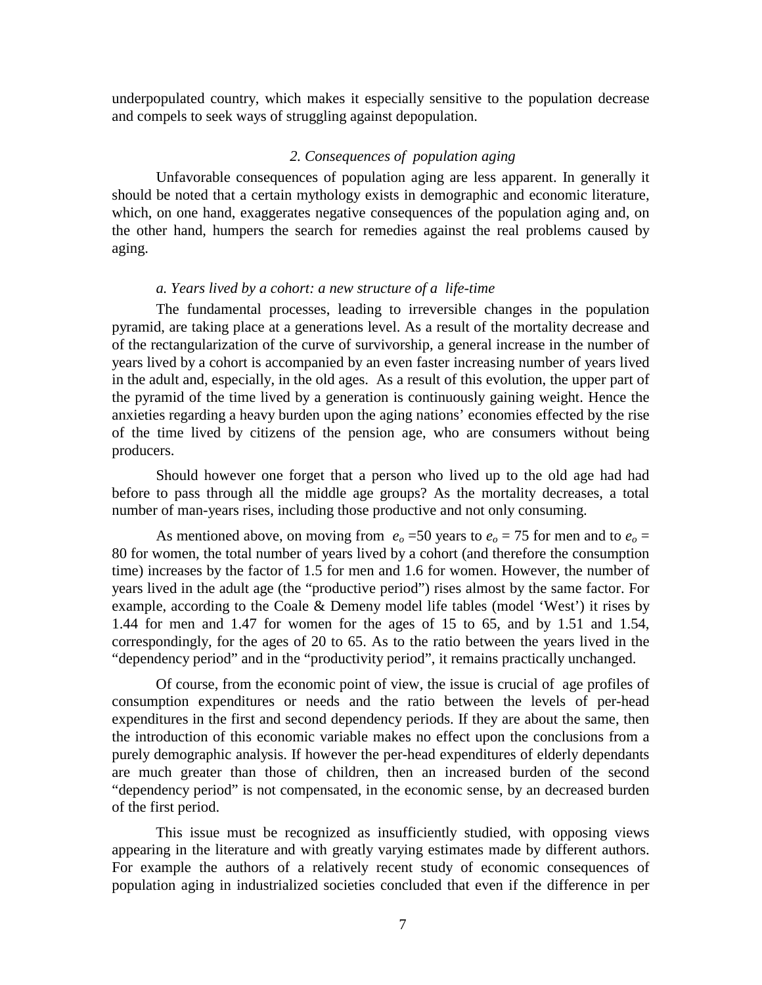underpopulated country, which makes it especially sensitive to the population decrease and compels to seek ways of struggling against depopulation.

# *2. Consequences of population aging*

Unfavorable consequences of population aging are less apparent. In generally it should be noted that a certain mythology exists in demographic and economic literature, which, on one hand, exaggerates negative consequences of the population aging and, on the other hand, humpers the search for remedies against the real problems caused by aging.

## *a. Years lived by a cohort: a new structure of a life-time*

The fundamental processes, leading to irreversible changes in the population pyramid, are taking place at a generations level. As a result of the mortality decrease and of the rectangularization of the curve of survivorship, a general increase in the number of years lived by a cohort is accompanied by an even faster increasing number of years lived in the adult and, especially, in the old ages. As a result of this evolution, the upper part of the pyramid of the time lived by a generation is continuously gaining weight. Hence the anxieties regarding a heavy burden upon the aging nations' economies effected by the rise of the time lived by citizens of the pension age, who are consumers without being producers.

Should however one forget that a person who lived up to the old age had had before to pass through all the middle age groups? As the mortality decreases, a total number of man-years rises, including those productive and not only consuming.

As mentioned above, on moving from  $e<sub>o</sub> = 50$  years to  $e<sub>o</sub> = 75$  for men and to  $e<sub>o</sub> =$ 80 for women, the total number of years lived by a cohort (and therefore the consumption time) increases by the factor of 1.5 for men and 1.6 for women. However, the number of years lived in the adult age (the "productive period") rises almost by the same factor. For example, according to the Coale & Demeny model life tables (model 'West') it rises by 1.44 for men and 1.47 for women for the ages of 15 to 65, and by 1.51 and 1.54, correspondingly, for the ages of 20 to 65. As to the ratio between the years lived in the "dependency period" and in the "productivity period", it remains practically unchanged.

Of course, from the economic point of view, the issue is crucial of age profiles of consumption expenditures or needs and the ratio between the levels of per-head expenditures in the first and second dependency periods. If they are about the same, then the introduction of this economic variable makes no effect upon the conclusions from a purely demographic analysis. If however the per-head expenditures of elderly dependants are much greater than those of children, then an increased burden of the second "dependency period" is not compensated, in the economic sense, by an decreased burden of the first period.

This issue must be recognized as insufficiently studied, with opposing views appearing in the literature and with greatly varying estimates made by different authors. For example the authors of a relatively recent study of economic consequences of population aging in industrialized societies concluded that even if the difference in per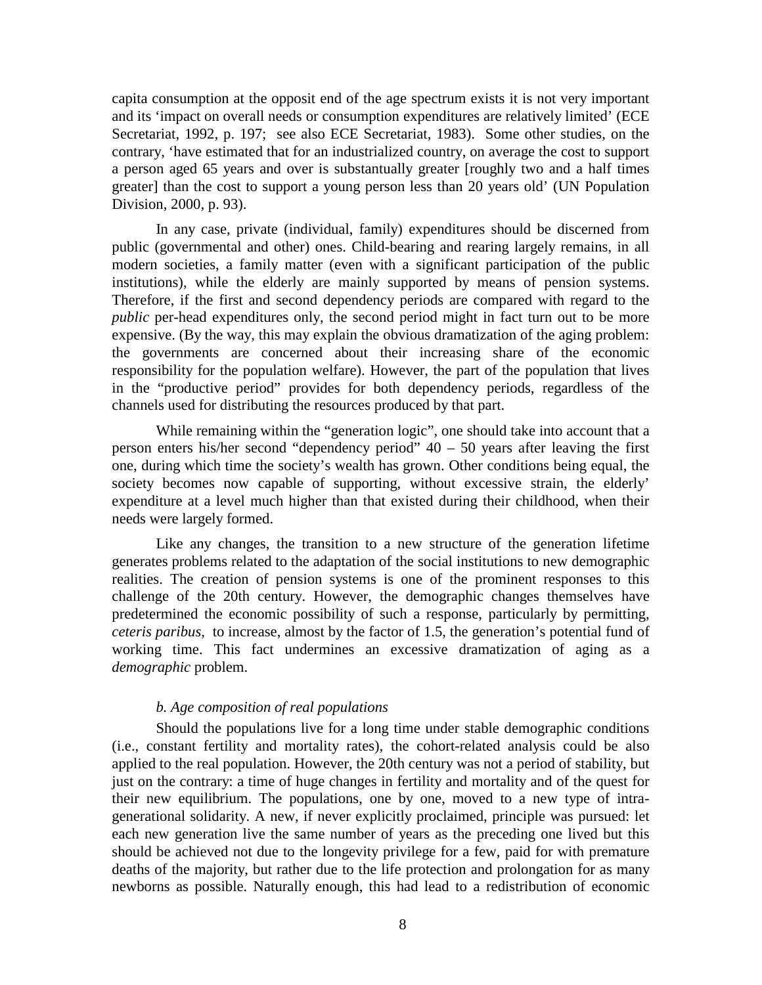capita consumption at the opposit end of the age spectrum exists it is not very important and its 'impact on overall needs or consumption expenditures are relatively limited' (ECE Secretariat, 1992, p. 197; see also ECE Secretariat, 1983). Some other studies, on the contrary, 'have estimated that for an industrialized country, on average the cost to support a person aged 65 years and over is substantually greater [roughly two and a half times greater] than the cost to support a young person less than 20 years old' (UN Population Division, 2000, p. 93).

In any case, private (individual, family) expenditures should be discerned from public (governmental and other) ones. Child-bearing and rearing largely remains, in all modern societies, a family matter (even with a significant participation of the public institutions), while the elderly are mainly supported by means of pension systems. Therefore, if the first and second dependency periods are compared with regard to the *public* per-head expenditures only, the second period might in fact turn out to be more expensive. (By the way, this may explain the obvious dramatization of the aging problem: the governments are concerned about their increasing share of the economic responsibility for the population welfare). However, the part of the population that lives in the "productive period" provides for both dependency periods, regardless of the channels used for distributing the resources produced by that part.

While remaining within the "generation logic", one should take into account that a person enters his/her second "dependency period" 40 – 50 years after leaving the first one, during which time the society's wealth has grown. Other conditions being equal, the society becomes now capable of supporting, without excessive strain, the elderly' expenditure at a level much higher than that existed during their childhood, when their needs were largely formed.

Like any changes, the transition to a new structure of the generation lifetime generates problems related to the adaptation of the social institutions to new demographic realities. The creation of pension systems is one of the prominent responses to this challenge of the 20th century. However, the demographic changes themselves have predetermined the economic possibility of such a response, particularly by permitting, *ceteris paribus*, to increase, almost by the factor of 1.5, the generation's potential fund of working time. This fact undermines an excessive dramatization of aging as a *demographic* problem.

## *b. Age composition of real populations*

Should the populations live for a long time under stable demographic conditions (i.e., constant fertility and mortality rates), the cohort-related analysis could be also applied to the real population. However, the 20th century was not a period of stability, but just on the contrary: a time of huge changes in fertility and mortality and of the quest for their new equilibrium. The populations, one by one, moved to a new type of intragenerational solidarity. A new, if never explicitly proclaimed, principle was pursued: let each new generation live the same number of years as the preceding one lived but this should be achieved not due to the longevity privilege for a few, paid for with premature deaths of the majority, but rather due to the life protection and prolongation for as many newborns as possible. Naturally enough, this had lead to a redistribution of economic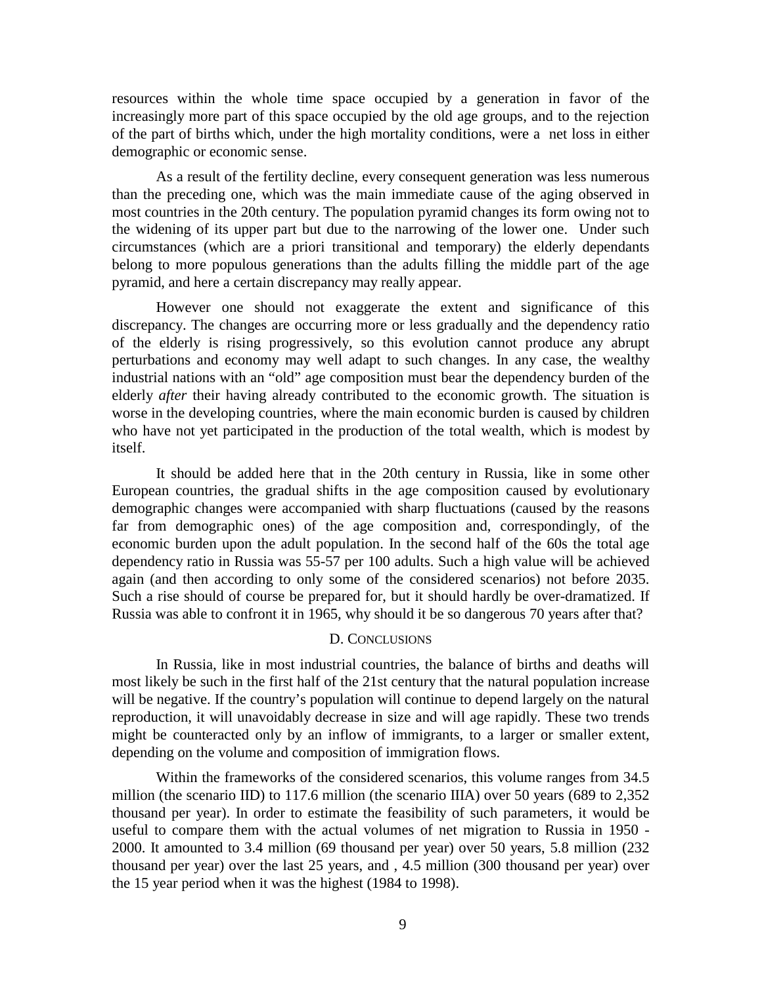resources within the whole time space occupied by a generation in favor of the increasingly more part of this space occupied by the old age groups, and to the rejection of the part of births which, under the high mortality conditions, were a net loss in either demographic or economic sense.

As a result of the fertility decline, every consequent generation was less numerous than the preceding one, which was the main immediate cause of the aging observed in most countries in the 20th century. The population pyramid changes its form owing not to the widening of its upper part but due to the narrowing of the lower one. Under such circumstances (which are a priori transitional and temporary) the elderly dependants belong to more populous generations than the adults filling the middle part of the age pyramid, and here a certain discrepancy may really appear.

However one should not exaggerate the extent and significance of this discrepancy. The changes are occurring more or less gradually and the dependency ratio of the elderly is rising progressively, so this evolution cannot produce any abrupt perturbations and economy may well adapt to such changes. In any case, the wealthy industrial nations with an "old" age composition must bear the dependency burden of the elderly *after* their having already contributed to the economic growth. The situation is worse in the developing countries, where the main economic burden is caused by children who have not yet participated in the production of the total wealth, which is modest by itself.

It should be added here that in the 20th century in Russia, like in some other European countries, the gradual shifts in the age composition caused by evolutionary demographic changes were accompanied with sharp fluctuations (caused by the reasons far from demographic ones) of the age composition and, correspondingly, of the economic burden upon the adult population. In the second half of the 60s the total age dependency ratio in Russia was 55-57 per 100 adults. Such a high value will be achieved again (and then according to only some of the considered scenarios) not before 2035. Such a rise should of course be prepared for, but it should hardly be over-dramatized. If Russia was able to confront it in 1965, why should it be so dangerous 70 years after that?

#### D. CONCLUSIONS

In Russia, like in most industrial countries, the balance of births and deaths will most likely be such in the first half of the 21st century that the natural population increase will be negative. If the country's population will continue to depend largely on the natural reproduction, it will unavoidably decrease in size and will age rapidly. These two trends might be counteracted only by an inflow of immigrants, to a larger or smaller extent, depending on the volume and composition of immigration flows.

Within the frameworks of the considered scenarios, this volume ranges from 34.5 million (the scenario IID) to 117.6 million (the scenario IIIA) over 50 years (689 to 2,352 thousand per year). In order to estimate the feasibility of such parameters, it would be useful to compare them with the actual volumes of net migration to Russia in 1950 - 2000. It amounted to 3.4 million (69 thousand per year) over 50 years, 5.8 million (232 thousand per year) over the last 25 years, and , 4.5 million (300 thousand per year) over the 15 year period when it was the highest (1984 to 1998).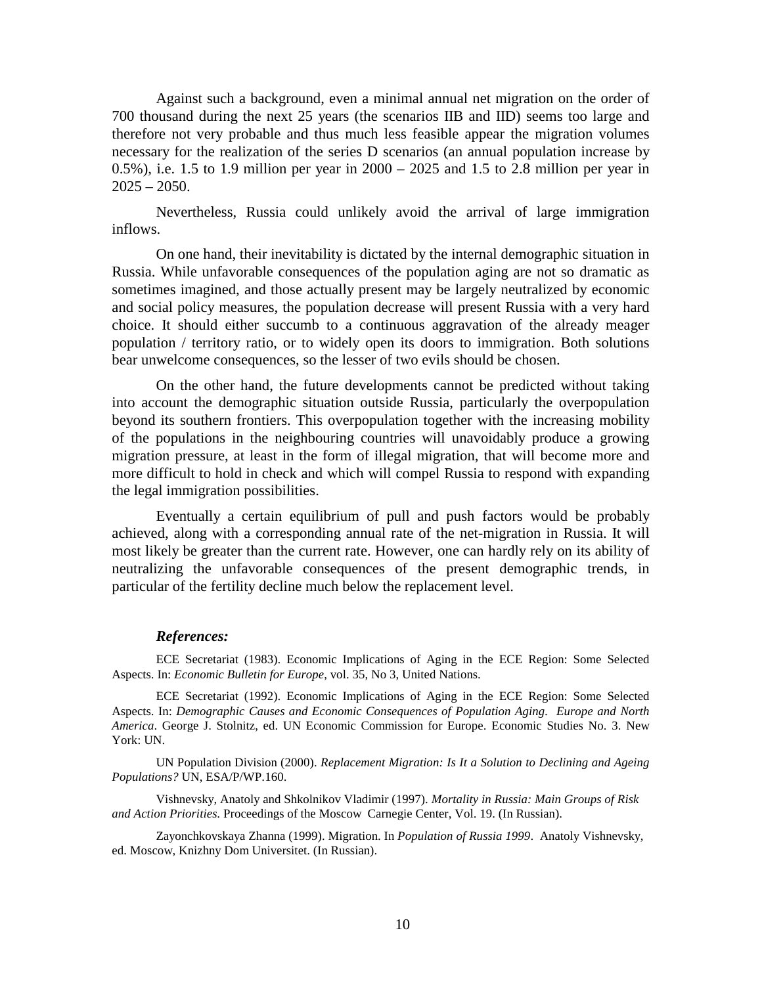Against such a background, even a minimal annual net migration on the order of 700 thousand during the next 25 years (the scenarios IIB and IID) seems too large and therefore not very probable and thus much less feasible appear the migration volumes necessary for the realization of the series D scenarios (an annual population increase by 0.5%), i.e. 1.5 to 1.9 million per year in 2000 – 2025 and 1.5 to 2.8 million per year in  $2025 - 2050$ .

Nevertheless, Russia could unlikely avoid the arrival of large immigration inflows.

On one hand, their inevitability is dictated by the internal demographic situation in Russia. While unfavorable consequences of the population aging are not so dramatic as sometimes imagined, and those actually present may be largely neutralized by economic and social policy measures, the population decrease will present Russia with a very hard choice. It should either succumb to a continuous aggravation of the already meager population / territory ratio, or to widely open its doors to immigration. Both solutions bear unwelcome consequences, so the lesser of two evils should be chosen.

On the other hand, the future developments cannot be predicted without taking into account the demographic situation outside Russia, particularly the overpopulation beyond its southern frontiers. This overpopulation together with the increasing mobility of the populations in the neighbouring countries will unavoidably produce a growing migration pressure, at least in the form of illegal migration, that will become more and more difficult to hold in check and which will compel Russia to respond with expanding the legal immigration possibilities.

Eventually a certain equilibrium of pull and push factors would be probably achieved, along with a corresponding annual rate of the net-migration in Russia. It will most likely be greater than the current rate. However, one can hardly rely on its ability of neutralizing the unfavorable consequences of the present demographic trends, in particular of the fertility decline much below the replacement level.

#### *References:*

ECE Secretariat (1983). Economic Implications of Aging in the ECE Region: Some Selected Aspects. In: *Economic Bulletin for Europe*, vol. 35, No 3, United Nations.

ECE Secretariat (1992). Economic Implications of Aging in the ECE Region: Some Selected Aspects. In: *Demographic Causes and Economic Consequences of Population Aging. Europe and North America*. George J. Stolnitz, ed. UN Economic Commission for Europe. Economic Studies No. 3. New York: UN.

UN Population Division (2000). *Replacement Migration: Is It a Solution to Declining and Ageing Populations?* UN, ESA/P/WP.160.

Vishnevsky, Anatoly and Shkolnikov Vladimir (1997). *Mortality in Russia: Main Groups of Risk and Action Priorities*. Proceedings of the Moscow Carnegie Center, Vol. 19. (In Russian).

Zayonchkovskaya Zhanna (1999). Migration. In *Population of Russia 1999*. Anatoly Vishnevsky, ed. Moscow, Knizhny Dom Universitet. (In Russian).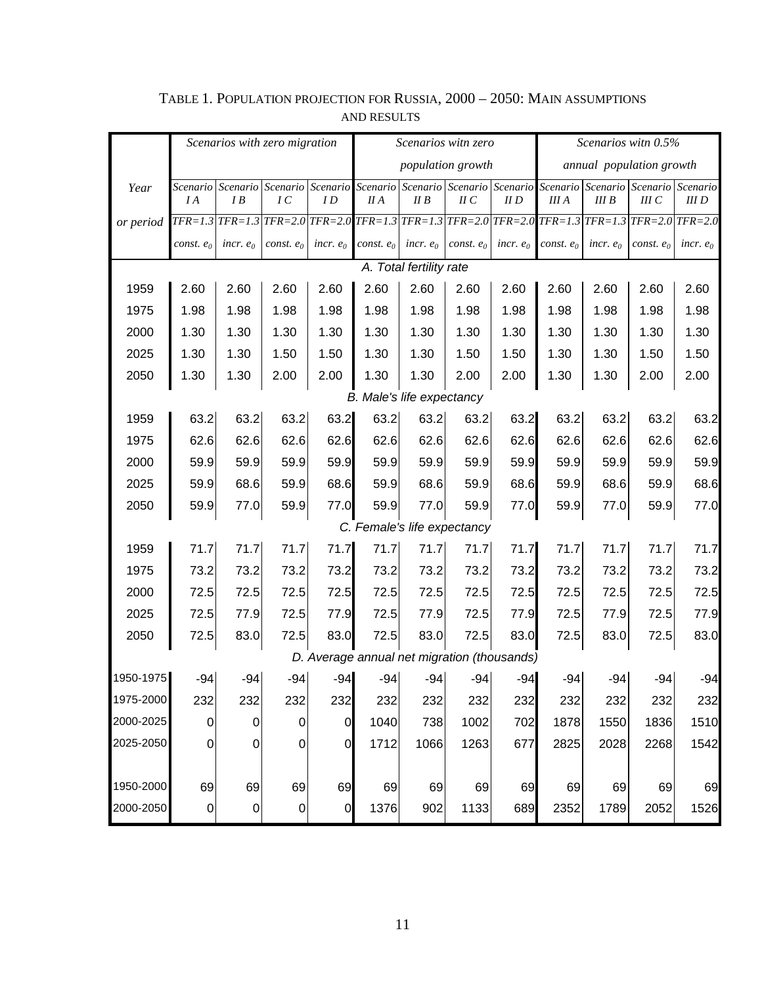|                                             | Scenarios with zero migration |             |                                                                                                       |                | Scenarios witn zero |                         |                             |             | Scenarios with 0.5%      |             |                                                                |             |
|---------------------------------------------|-------------------------------|-------------|-------------------------------------------------------------------------------------------------------|----------------|---------------------|-------------------------|-----------------------------|-------------|--------------------------|-------------|----------------------------------------------------------------|-------------|
|                                             |                               |             |                                                                                                       |                | population growth   |                         |                             |             | annual population growth |             |                                                                |             |
| Year                                        |                               |             | Scenario Scenario Scenario Scenario                                                                   |                | Scenario            |                         |                             |             |                          |             | Scenario Scenario Scenario Scenario Scenario Scenario Scenario |             |
|                                             | I A                           | I B         | IC<br>TFR=1.3 TFR=1.3 TFR=2.0 TFR=2.0 TFR=1.3 TFR=1.3 TFR=2.0 TFR=2.0 TFR=1.3 TFR=1.3 TFR=2.0 TFR=2.0 | I D            | II A                | II B                    | $I\!I$ $C$                  | II D        | III A                    | III B       | III C                                                          | III D       |
| or period                                   |                               |             |                                                                                                       |                |                     |                         |                             |             |                          |             |                                                                |             |
|                                             | $const. e_0$                  | incr. $e_0$ | const. $e_0$                                                                                          | incr. $e_0$    | const. $e_0$        | incr. $e_0$             | const. $e_0$                | incr. $e_0$ | const. $e_0$             | incr. $e_0$ | const. $e_0$                                                   | incr. $e_0$ |
|                                             |                               |             |                                                                                                       |                |                     | A. Total fertility rate |                             |             |                          |             |                                                                |             |
| 1959                                        | 2.60                          | 2.60        | 2.60                                                                                                  | 2.60           | 2.60                | 2.60                    | 2.60                        | 2.60        | 2.60                     | 2.60        | 2.60                                                           | 2.60        |
| 1975                                        | 1.98                          | 1.98        | 1.98                                                                                                  | 1.98           | 1.98                | 1.98                    | 1.98                        | 1.98        | 1.98                     | 1.98        | 1.98                                                           | 1.98        |
| 2000                                        | 1.30                          | 1.30        | 1.30                                                                                                  | 1.30           | 1.30                | 1.30                    | 1.30                        | 1.30        | 1.30                     | 1.30        | 1.30                                                           | 1.30        |
| 2025                                        | 1.30                          | 1.30        | 1.50                                                                                                  | 1.50           | 1.30                | 1.30                    | 1.50                        | 1.50        | 1.30                     | 1.30        | 1.50                                                           | 1.50        |
| 2050                                        | 1.30                          | 1.30        | 2.00                                                                                                  | 2.00           | 1.30                | 1.30                    | 2.00                        | 2.00        | 1.30                     | 1.30        | 2.00                                                           | 2.00        |
| B. Male's life expectancy                   |                               |             |                                                                                                       |                |                     |                         |                             |             |                          |             |                                                                |             |
| 1959                                        | 63.2                          | 63.2        | 63.2                                                                                                  | 63.2           | 63.2                | 63.2                    | 63.2                        | 63.2        | 63.2                     | 63.2        | 63.2                                                           | 63.2        |
| 1975                                        | 62.6                          | 62.6        | 62.6                                                                                                  | 62.6           | 62.6                | 62.6                    | 62.6                        | 62.6        | 62.6                     | 62.6        | 62.6                                                           | 62.6        |
| 2000                                        | 59.9                          | 59.9        | 59.9                                                                                                  | 59.9           | 59.9                | 59.9                    | 59.9                        | 59.9        | 59.9                     | 59.9        | 59.9                                                           | 59.9        |
| 2025                                        | 59.9                          | 68.6        | 59.9                                                                                                  | 68.6           | 59.9                | 68.6                    | 59.9                        | 68.6        | 59.9                     | 68.6        | 59.9                                                           | 68.6        |
| 2050                                        | 59.9                          | 77.0        | 59.9                                                                                                  | 77.0           | 59.9                | 77.0                    | 59.9                        | 77.0        | 59.9                     | 77.0        | 59.9                                                           | 77.0        |
|                                             |                               |             |                                                                                                       |                |                     |                         | C. Female's life expectancy |             |                          |             |                                                                |             |
| 1959                                        | 71.7                          | 71.7        | 71.7                                                                                                  | 71.7           | 71.7                | 71.7                    | 71.7                        | 71.7        | 71.7                     | 71.7        | 71.7                                                           | 71.7        |
| 1975                                        | 73.2                          | 73.2        | 73.2                                                                                                  | 73.2           | 73.2                | 73.2                    | 73.2                        | 73.2        | 73.2                     | 73.2        | 73.2                                                           | 73.2        |
| 2000                                        | 72.5                          | 72.5        | 72.5                                                                                                  | 72.5           | 72.5                | 72.5                    | 72.5                        | 72.5        | 72.5                     | 72.5        | 72.5                                                           | 72.5        |
| 2025                                        | 72.5                          | 77.9        | 72.5                                                                                                  | 77.9           | 72.5                | 77.9                    | 72.5                        | 77.9        | 72.5                     | 77.9        | 72.5                                                           | 77.9        |
| 2050                                        | 72.5                          | 83.0        | 72.5                                                                                                  | 83.0           | 72.5                | 83.0                    | 72.5                        | 83.0        | 72.5                     | 83.0        | 72.5                                                           | 83.0        |
| D. Average annual net migration (thousands) |                               |             |                                                                                                       |                |                     |                         |                             |             |                          |             |                                                                |             |
| 1950-1975<br>1975-2000                      | $-94$                         | $-94$       | $-94$                                                                                                 | $-94$          | $-94$               | $-94$                   | $-94$                       | $-94$       | $-94$                    | $-94$       | $-94$                                                          | $-94$       |
| 2000-2025                                   | 232                           | 232         | 232                                                                                                   | 232            | 232                 | 232                     | 232                         | 232         | 232                      | 232         | 232                                                            | 232         |
| 2025-2050                                   | 0                             | 0           | 0                                                                                                     | $\overline{0}$ | 1040                | 738                     | 1002                        | 702         | 1878                     | 1550        | 1836                                                           | 1510        |
|                                             | 0                             | $\mathbf 0$ | 0                                                                                                     | 0              | 1712                | 1066                    | 1263                        | 677         | 2825                     | 2028        | 2268                                                           | 1542        |
| 1950-2000                                   | 69                            | 69          | 69                                                                                                    |                | 69                  |                         | 69                          |             | 69                       | 69          |                                                                | 69          |
| 2000-2050                                   |                               |             |                                                                                                       | 69             |                     | 69                      |                             | 69          |                          |             | 69                                                             |             |
|                                             | 0                             | $\pmb{0}$   | 0                                                                                                     | $\overline{0}$ | 1376                | 902                     | 1133                        | 689         | 2352                     | 1789        | 2052                                                           | 1526        |

# TABLE 1. POPULATION PROJECTION FOR RUSSIA, 2000 – 2050: MAIN ASSUMPTIONS AND RESULTS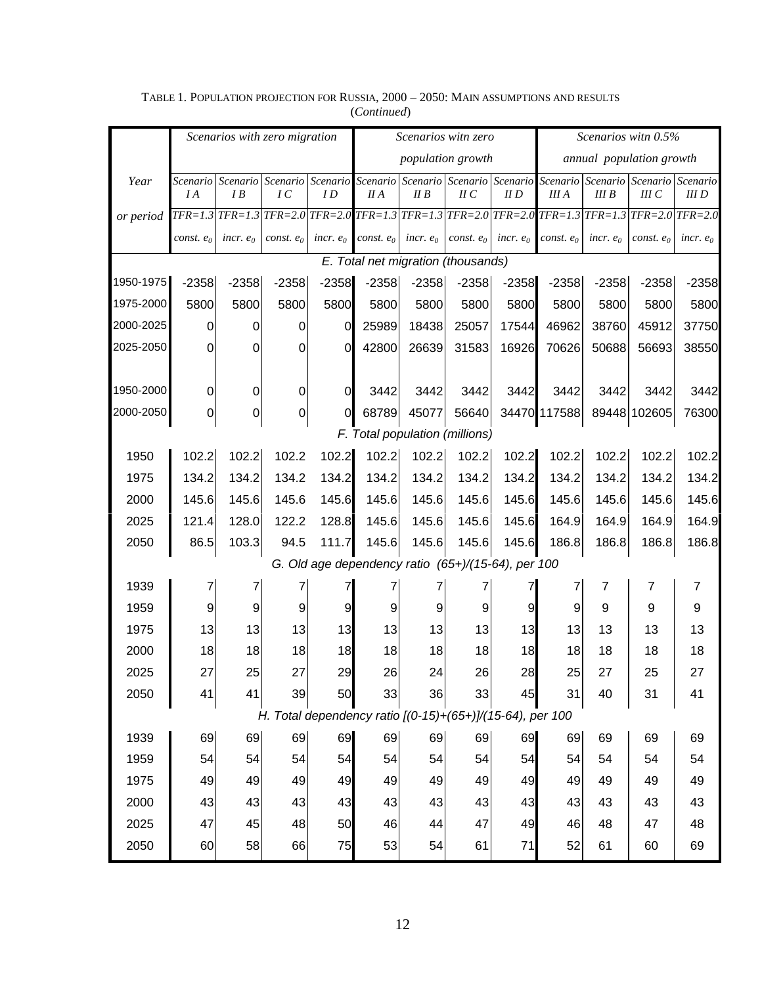|                                                           | Scenarios with zero migration |                         |              |                                                    | Scenarios witn zero |             |                          |             | Scenarios with 0.5%                                                                                                     |             |                           |                |  |
|-----------------------------------------------------------|-------------------------------|-------------------------|--------------|----------------------------------------------------|---------------------|-------------|--------------------------|-------------|-------------------------------------------------------------------------------------------------------------------------|-------------|---------------------------|----------------|--|
|                                                           |                               |                         |              |                                                    | population growth   |             |                          |             | annual population growth                                                                                                |             |                           |                |  |
| Year                                                      | Scenario<br>I A               | Scenario<br>I B         | IC           | ID                                                 | II A                | IIB         | $\mathcal{U}\mathcal{C}$ | $II$ $D$    | Scenario Scenario Scenario Scenario Scenario Scenario Scenario Scenario<br><b>III</b> A                                 | IIIB        | Scenario Scenario<br>IIIC | III D          |  |
| or period                                                 |                               | $TFR = 1.3$ $TFR = 1.3$ |              |                                                    |                     |             |                          |             | $TFR = 2.0$ $TFR = 2.0$ $TFR = 1.3$ $TFR = 1.3$ $TFR = 2.0$ $TFR = 2.0$ $TFR = 1.3$ $TFR = 1.3$ $TFR = 2.0$ $TFR = 2.0$ |             |                           |                |  |
|                                                           | const. $e_0$                  | incr. $e_0$             | const. $e_0$ | incr. $e_0$                                        | const. $e_0$        | incr. $e_0$ | const. $e_0$             | incr. $e_0$ | const. $e_0$                                                                                                            | incr. $e_0$ | const. $e_0$              | incr. $e_0$    |  |
| E. Total net migration (thousands)                        |                               |                         |              |                                                    |                     |             |                          |             |                                                                                                                         |             |                           |                |  |
| 1950-1975                                                 | $-2358$                       | $-2358$                 | $-2358$      | $-2358$                                            | $-2358$             | $-2358$     | $-2358$                  | $-2358$     | $-2358$                                                                                                                 | $-2358$     | $-2358$                   | $-2358$        |  |
| 1975-2000                                                 | 5800                          | 5800                    | 5800         | 5800                                               | 5800                | 5800        | 5800                     | 5800        | 5800                                                                                                                    | 5800        | 5800                      | 5800           |  |
| 2000-2025                                                 | 0                             | 0                       | 0            | $\overline{O}$                                     | 25989               | 18438       | 25057                    | 17544       | 46962                                                                                                                   | 38760       | 45912                     | 37750          |  |
| 2025-2050                                                 | 0                             | 0                       | 0            | $\overline{0}$                                     | 42800               | 26639       | 31583                    | 16926       | 70626                                                                                                                   | 50688       | 56693                     | 38550          |  |
|                                                           |                               |                         |              |                                                    |                     |             |                          |             |                                                                                                                         |             |                           |                |  |
| 1950-2000                                                 | $\mathbf 0$                   | 0                       | $\mathbf 0$  | $\overline{0}$                                     | 3442                | 3442        | 3442                     | 3442        | 3442                                                                                                                    | 3442        | 3442                      | 3442           |  |
| 2000-2050                                                 | $\mathbf 0$                   | 0                       | 0            | $\overline{O}$                                     | 68789               | 45077       | 56640                    |             | 34470 117588                                                                                                            |             | 89448 102605              | 76300          |  |
| F. Total population (millions)                            |                               |                         |              |                                                    |                     |             |                          |             |                                                                                                                         |             |                           |                |  |
| 1950                                                      | 102.2                         | 102.2                   | 102.2        | 102.2                                              | 102.2               | 102.2       | 102.2                    | 102.2       | 102.2                                                                                                                   | 102.2       | 102.2                     | 102.2          |  |
| 1975                                                      | 134.2                         | 134.2                   | 134.2        | 134.2                                              | 134.2               | 134.2       | 134.2                    | 134.2       | 134.2                                                                                                                   | 134.2       | 134.2                     | 134.2          |  |
| 2000                                                      | 145.6                         | 145.6                   | 145.6        | 145.6                                              | 145.6               | 145.6       | 145.6                    | 145.6       | 145.6                                                                                                                   | 145.6       | 145.6                     | 145.6          |  |
| 2025                                                      | 121.4                         | 128.0                   | 122.2        | 128.8                                              | 145.6               | 145.6       | 145.6                    | 145.6       | 164.9                                                                                                                   | 164.9       | 164.9                     | 164.9          |  |
| 2050                                                      | 86.5                          | 103.3                   | 94.5         | 111.7                                              | 145.6               | 145.6       | 145.6                    | 145.6       | 186.8                                                                                                                   | 186.8       | 186.8                     | 186.8          |  |
|                                                           |                               |                         |              | G. Old age dependency ratio (65+)/(15-64), per 100 |                     |             |                          |             |                                                                                                                         |             |                           |                |  |
| 1939                                                      | 7                             | 7                       | 7            | 7                                                  | 7                   | 7           | 7                        | 7           | 7                                                                                                                       | 7           | 7                         | $\overline{7}$ |  |
| 1959                                                      | 9                             | 9                       | 9            | 9                                                  | 9                   | 9           | 9                        | 9           | 9                                                                                                                       | 9           | 9                         | 9              |  |
| 1975                                                      | 13                            | 13                      | 13           | 13                                                 | 13                  | 13          | 13                       | 13          | 13                                                                                                                      | 13          | 13                        | 13             |  |
| 2000                                                      | 18                            | 18                      | 18           | 18                                                 | 18                  | 18          | 18                       | 18          | 18                                                                                                                      | 18          | 18                        | 18             |  |
| 2025                                                      | 27                            | 25                      | 27           | 29                                                 | 26                  | 24          | 26                       | 28          | 25                                                                                                                      | 27          | 25                        | 27             |  |
| 2050                                                      | 41                            | 41                      | 39           | 50                                                 | 33                  | 36          | 33                       | 45          | 31                                                                                                                      | 40          | 31                        | 41             |  |
| H. Total dependency ratio [(0-15)+(65+)]/(15-64), per 100 |                               |                         |              |                                                    |                     |             |                          |             |                                                                                                                         |             |                           |                |  |
| 1939                                                      | 69                            | 69                      | 69           | 69                                                 | 69                  | 69          | 69                       | 69          | 69                                                                                                                      | 69          | 69                        | 69             |  |
| 1959                                                      | 54                            | 54                      | 54           | 54                                                 | 54                  | 54          | 54                       | 54          | 54                                                                                                                      | 54          | 54                        | 54             |  |
| 1975                                                      | 49                            | 49                      | 49           | 49                                                 | 49                  | 49          | 49                       | 49          | 49                                                                                                                      | 49          | 49                        | 49             |  |
| 2000                                                      | 43                            | 43                      | 43           | 43                                                 | 43                  | 43          | 43                       | 43          | 43                                                                                                                      | 43          | 43                        | 43             |  |
| 2025                                                      | 47                            | 45                      | 48           | 50                                                 | 46                  | 44          | 47                       | 49          | 46                                                                                                                      | 48          | 47                        | 48             |  |
| 2050                                                      | 60                            | 58                      | 66           | 75                                                 | 53                  | 54          | 61                       | 71          | 52                                                                                                                      | 61          | 60                        | 69             |  |

TABLE 1. POPULATION PROJECTION FOR RUSSIA, 2000 – 2050: MAIN ASSUMPTIONS AND RESULTS (*Continued*)